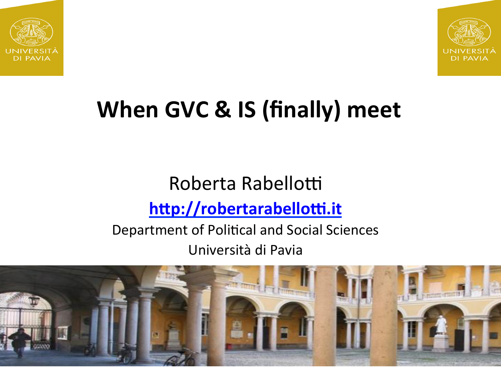



#### **When GVC & IS (finally) meet**

#### Roberta Rabellotti http://robertarabellotti.it

#### Department of Political and Social Sciences Università di Pavia

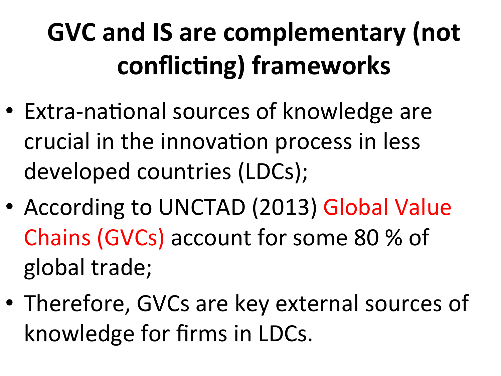### **GVC and IS are complementary (not** conflicting) frameworks

- Extra-national sources of knowledge are crucial in the innovation process in less developed countries (LDCs);
- According to UNCTAD (2013) Global Value Chains (GVCs) account for some 80 % of global trade;
- Therefore, GVCs are key external sources of knowledge for firms in LDCs.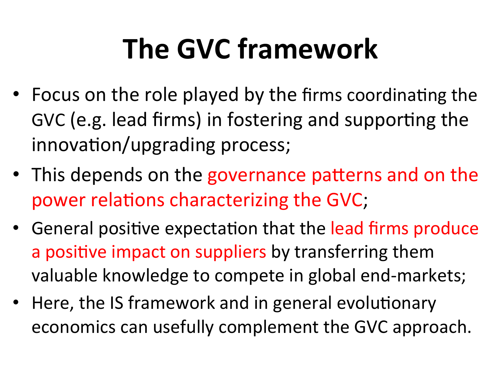## **The GVC framework**

- Focus on the role played by the firms coordinating the GVC (e.g. lead firms) in fostering and supporting the innovation/upgrading process;
- This depends on the governance patterns and on the power relations characterizing the GVC;
- General positive expectation that the lead firms produce a positive impact on suppliers by transferring them valuable knowledge to compete in global end-markets;
- Here, the IS framework and in general evolutionary economics can usefully complement the GVC approach.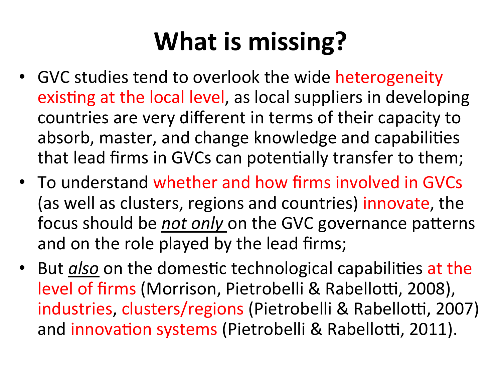#### **What is missing?**

- GVC studies tend to overlook the wide heterogeneity existing at the local level, as local suppliers in developing countries are very different in terms of their capacity to absorb, master, and change knowledge and capabilities that lead firms in GVCs can potentially transfer to them;
- To understand whether and how firms involved in GVCs (as well as clusters, regions and countries) innovate, the focus should be *not only* on the GVC governance patterns and on the role played by the lead firms;
- But *also* on the domestic technological capabilities at the level of firms (Morrison, Pietrobelli & Rabellotti, 2008), industries, clusters/regions (Pietrobelli & Rabellotti, 2007) and innovation systems (Pietrobelli & Rabellotti, 2011).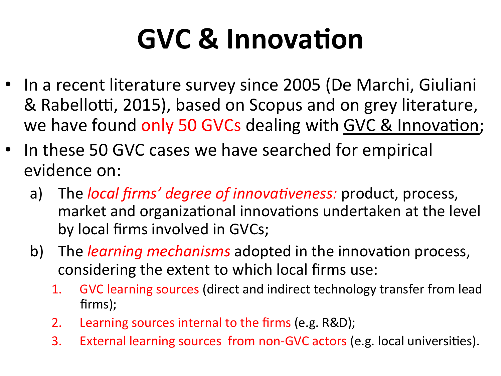## **GVC & Innovation**

- In a recent literature survey since 2005 (De Marchi, Giuliani & Rabellotti, 2015), based on Scopus and on grey literature, we have found only 50 GVCs dealing with GVC & Innovation;
- In these 50 GVC cases we have searched for empirical evidence on:
	- a) The *local firms' degree of innovativeness:* product, process, market and organizational innovations undertaken at the level by local firms involved in GVCs;
	- b) The *learning mechanisms* adopted in the innovation process, considering the extent to which local firms use:
		- 1. GVC learning sources (direct and indirect technology transfer from lead firms);
		- 2. Learning sources internal to the firms (e.g. R&D);
		- 3. External learning sources from non-GVC actors (e.g. local universities).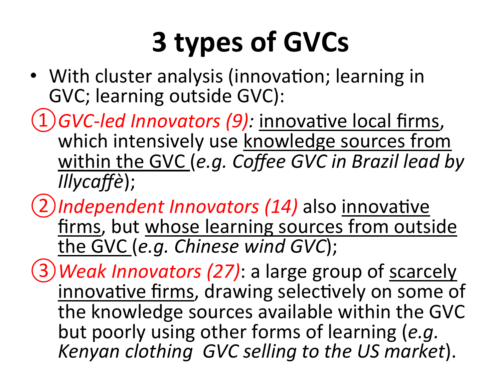## **3 types of GVCs**

- With cluster analysis (innovation; learning in GVC; learning outside GVC):
- 1) GVC-led Innovators (9): innovative local firms, which intensively use knowledge sources from within the GVC (e.g. Coffee GVC in Brazil lead by *Illycaffè*);
- 2)Independent Innovators (14) also innovative firms, but whose learning sources from outside the GVC (e.g. Chinese wind GVC);
- 3) Weak Innovators (27): a large group of scarcely innovative firms, drawing selectively on some of the knowledge sources available within the GVC but poorly using other forms of learning (e.g. Kenyan clothing *GVC* selling to the US market).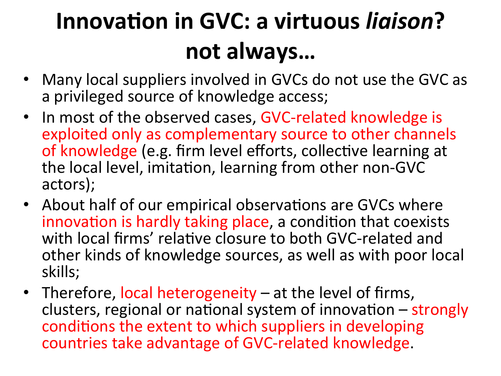#### **Innovation in GVC: a virtuous ligison?** not always...

- Many local suppliers involved in GVCs do not use the GVC as a privileged source of knowledge access;
- In most of the observed cases, GVC-related knowledge is exploited only as complementary source to other channels of knowledge (e.g. firm level efforts, collective learning at the local level, imitation, learning from other non-GVC actors);
- About half of our empirical observations are GVCs where innovation is hardly taking place, a condition that coexists with local firms' relative closure to both GVC-related and other kinds of knowledge sources, as well as with poor local skills;
- Therefore, local heterogeneity at the level of firms, clusters, regional or national system of innovation  $-$  strongly conditions the extent to which suppliers in developing countries take advantage of GVC-related knowledge.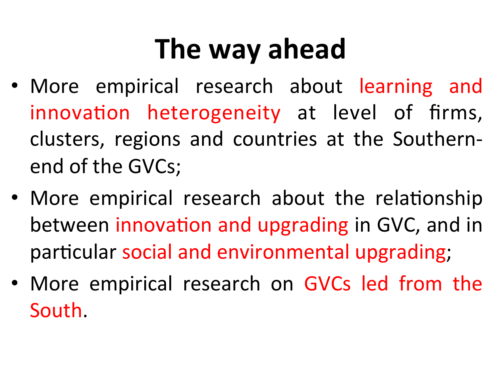## **The way ahead**

- More empirical research about learning and innovation heterogeneity at level of firms, clusters, regions and countries at the Southernend of the GVCs;
- More empirical research about the relationship between innovation and upgrading in GVC, and in particular social and environmental upgrading;
- More empirical research on GVCs led from the South.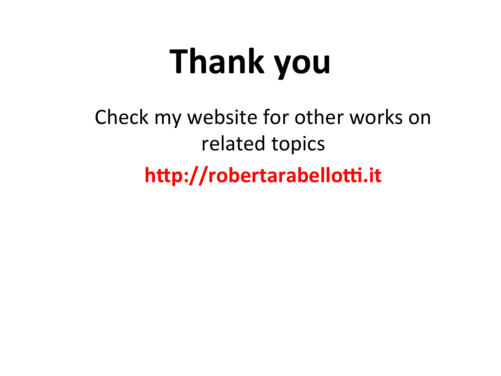# **Thank you**

Check my website for other works on related topics http://robertarabellotti.it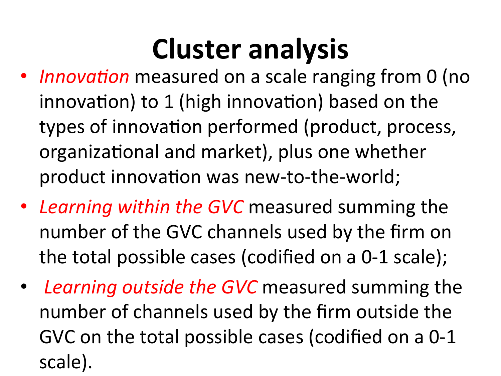### **Cluster analysis**

- *Innovation* measured on a scale ranging from 0 (no innovation) to 1 (high innovation) based on the types of innovation performed (product, process, organizational and market), plus one whether product innovation was new-to-the-world;
- Learning within the GVC measured summing the number of the GVC channels used by the firm on the total possible cases (codified on a 0-1 scale);
- Learning outside the GVC measured summing the number of channels used by the firm outside the GVC on the total possible cases (codified on a 0-1 scale).